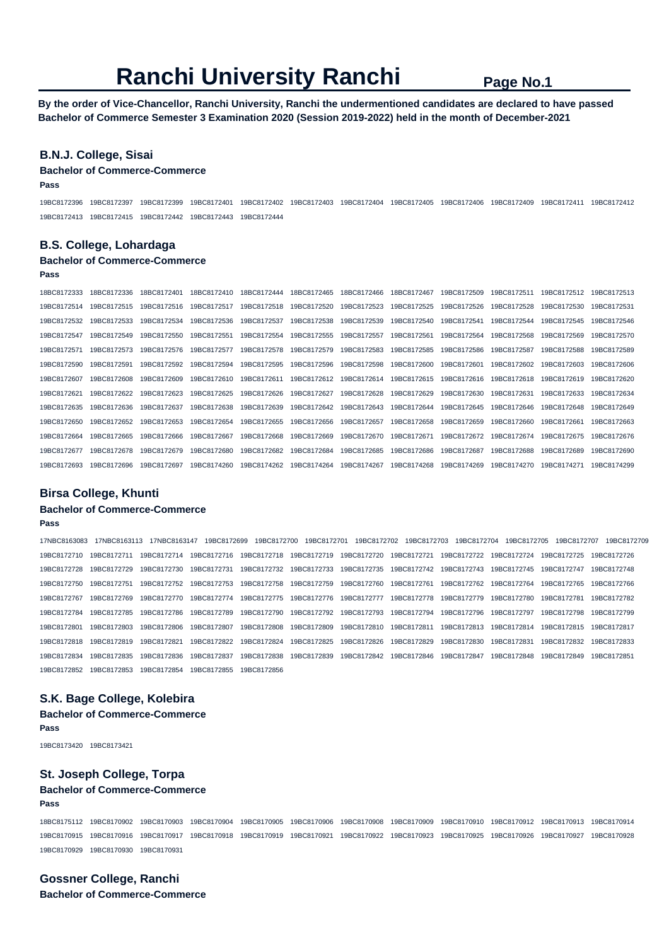**By the order of Vice-Chancellor, Ranchi University, Ranchi the undermentioned candidates are declared to have passed Bachelor of Commerce Semester 3 Examination 2020 (Session 2019-2022) held in the month of December-2021** 

### **B.N.J. College, Sisai**

# **Bachelor of Commerce-Commerce**

**Pass** 

19BC8172396 19BC8172397 19BC8172399 19BC8172401 19BC8172402 19BC8172403 19BC8172404 19BC8172405 19BC8172406 19BC8172409 19BC8172411 19BC8172412 19BC8172413 19BC8172415 19BC8172442 19BC8172443 19BC8172444

### **B.S. College, Lohardaga**

# **Bachelor of Commerce-Commerce**

**Pass** 

| 18BC8172333 | 18BC8172336 | 18BC8172401 | 18BC8172410 | 18BC8172444 | 18BC8172465 | 18BC8172466 | 18BC8172467 | 19BC8172509 | 19BC8172511 | 19BC8172512 | 19BC8172513 |
|-------------|-------------|-------------|-------------|-------------|-------------|-------------|-------------|-------------|-------------|-------------|-------------|
| 19BC8172514 | 19BC8172515 | 19BC8172516 | 19BC8172517 | 19BC8172518 | 19BC8172520 | 19BC8172523 | 19BC8172525 | 19BC8172526 | 19BC8172528 | 19BC8172530 | 19BC8172531 |
| 19BC8172532 | 19BC8172533 | 19BC8172534 | 19BC8172536 | 19BC8172537 | 19BC8172538 | 19BC8172539 | 19BC8172540 | 19BC8172541 | 19BC8172544 | 19BC8172545 | 19BC8172546 |
| 19BC8172547 | 19BC8172549 | 19BC8172550 | 19BC8172551 | 19BC8172554 | 19BC8172555 | 19BC8172557 | 19BC8172561 | 19BC8172564 | 19BC8172568 | 19BC8172569 | 19BC8172570 |
| 19BC8172571 | 19BC8172573 | 19BC8172576 | 19BC8172577 | 19BC8172578 | 19BC8172579 | 19BC8172583 | 19BC8172585 | 19BC8172586 | 19BC8172587 | 19BC8172588 | 19BC8172589 |
| 19BC8172590 | 19BC8172591 | 19BC8172592 | 19BC8172594 | 19BC8172595 | 19BC8172596 | 19BC8172598 | 19BC8172600 | 19BC8172601 | 19BC8172602 | 19BC8172603 | 19BC8172606 |
| 19BC8172607 | 19BC8172608 | 19BC8172609 | 19BC8172610 | 19BC8172611 | 19BC8172612 | 19BC8172614 | 19BC8172615 | 19BC8172616 | 19BC8172618 | 19BC8172619 | 19BC8172620 |
| 19BC8172621 | 19BC8172622 | 19BC8172623 | 19BC8172625 | 19BC8172626 | 19BC8172627 | 19BC8172628 | 19BC8172629 | 19BC8172630 | 19BC8172631 | 19BC8172633 | 19BC8172634 |
| 19BC8172635 | 19BC8172636 | 19BC8172637 | 19BC8172638 | 19BC8172639 | 19BC8172642 | 19BC8172643 | 19BC8172644 | 19BC8172645 | 19BC8172646 | 19BC8172648 | 19BC8172649 |
| 19BC8172650 | 19BC8172652 | 19BC8172653 | 19BC8172654 | 19BC8172655 | 19BC8172656 | 19BC8172657 | 19BC8172658 | 19BC8172659 | 19BC8172660 | 19BC8172661 | 19BC8172663 |
| 19BC8172664 | 19BC8172665 | 19BC8172666 | 19BC8172667 | 19BC8172668 | 19BC8172669 | 19BC8172670 | 19BC8172671 | 19BC8172672 | 19BC8172674 | 19BC8172675 | 19BC8172676 |
| 19BC8172677 | 19BC8172678 | 19BC8172679 | 19BC8172680 | 19BC8172682 | 19BC8172684 | 19BC8172685 | 19BC8172686 | 19BC8172687 | 19BC8172688 | 19BC8172689 | 19BC8172690 |
| 19BC8172693 | 19BC8172696 | 19BC8172697 | 19BC8174260 | 19BC8174262 | 19BC8174264 | 19BC8174267 | 19BC8174268 | 19BC8174269 | 19BC8174270 | 19BC8174271 | 19BC8174299 |

#### **Birsa College, Khunti**

# **Bachelor of Commerce-Commerce**

**Pass** 

17NBC8163083 17NBC8163113 17NBC8163147 19BC8172699 19BC8172700 19BC8172701 19BC8172702 19BC8172703 19BC8172704 19BC8172705 19BC8172707 19BC8172709 19BC8172710 19BC8172711 19BC8172714 19BC8172716 19BC8172718 19BC8172719 19BC8172720 19BC8172721 19BC8172722 19BC8172724 19BC8172725 19BC8172726 19BC8172728 19BC8172729 19BC8172730 19BC8172731 19BC8172732 19BC8172733 19BC8172735 19BC8172742 19BC8172743 19BC8172745 19BC8172747 19BC8172748 19BC8172750 19BC8172751 19BC8172752 19BC8172753 19BC8172758 19BC8172759 19BC8172760 19BC8172761 19BC8172762 19BC8172764 19BC8172765 19BC8172766 19BC8172767 19BC8172769 19BC8172770 19BC8172774 19BC8172775 19BC8172776 19BC8172777 19BC8172778 19BC8172779 19BC8172780 19BC8172781 19BC8172782 19BC8172784 19BC8172785 19BC8172786 19BC8172789 19BC8172790 19BC8172792 19BC8172793 19BC8172794 19BC8172796 19BC8172797 19BC8172798 19BC8172799 19BC8172801 19BC8172803 19BC8172806 19BC8172807 19BC8172808 19BC8172809 19BC8172810 19BC8172811 19BC8172813 19BC8172814 19BC8172815 19BC8172817 19BC8172818 19BC8172819 19BC8172821 19BC8172822 19BC8172824 19BC8172825 19BC8172826 19BC8172829 19BC8172830 19BC8172831 19BC8172832 19BC8172833 19BC8172834 19BC8172835 19BC8172836 19BC8172837 19BC8172838 19BC8172839 19BC8172842 19BC8172846 19BC8172847 19BC8172848 19BC8172849 19BC8172851 19BC8172852 19BC8172853 19BC8172854 19BC8172855 19BC8172856

#### **S.K. Bage College, Kolebira**

**Bachelor of Commerce-Commerce Pass** 

19BC8173420 19BC8173421

# **St. Joseph College, Torpa**

### **Bachelor of Commerce-Commerce**

**Pass** 

18BC8175112 19BC8170902 19BC8170903 19BC8170904 19BC8170905 19BC8170906 19BC8170908 19BC8170909 19BC8170910 19BC8170912 19BC8170913 19BC8170914 19BC8170915 19BC8170916 19BC8170917 19BC8170918 19BC8170919 19BC8170921 19BC8170922 19BC8170923 19BC8170925 19BC8170926 19BC8170927 19BC8170928 19BC8170929 19BC8170930 19BC8170931

# **Gossner College, Ranchi Bachelor of Commerce-Commerce**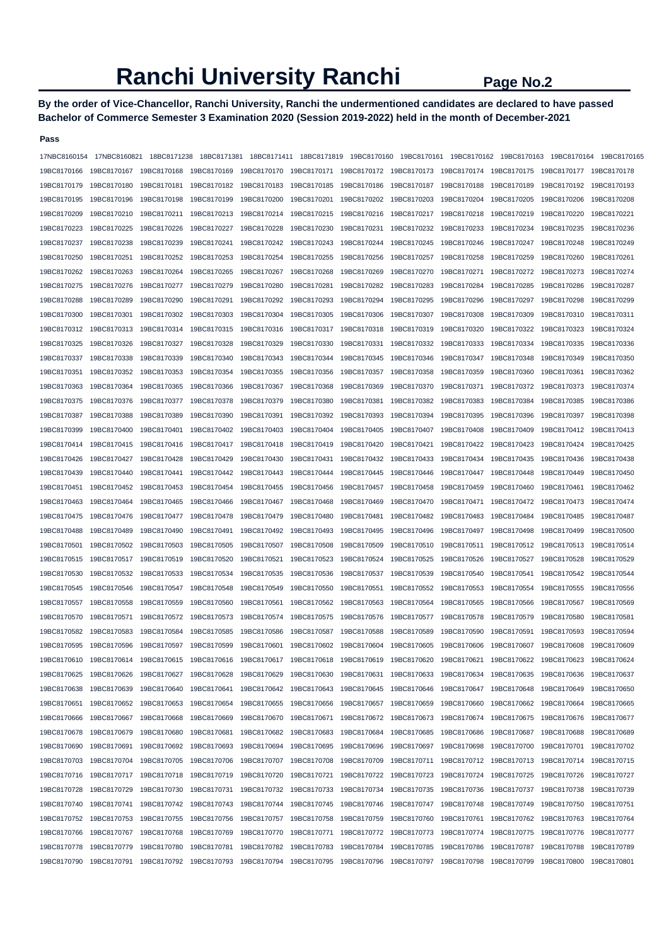**By the order of Vice-Chancellor, Ranchi University, Ranchi the undermentioned candidates are declared to have passed Bachelor of Commerce Semester 3 Examination 2020 (Session 2019-2022) held in the month of December-2021** 

|             | 17NBC8160154 17NBC8160821 |             |             | 18BC8171238 18BC8171381 18BC8171411 18BC8171819 19BC8170160 19BC8170161 19BC8170162 19BC8170163 19BC8170164 |             |             |                         |             |             |             | 19BC8170165 |
|-------------|---------------------------|-------------|-------------|-------------------------------------------------------------------------------------------------------------|-------------|-------------|-------------------------|-------------|-------------|-------------|-------------|
| 19BC8170166 | 19BC8170167  19BC8170168  |             | 19BC8170169 | 19BC8170170  19BC8170171  19BC8170172  19BC8170173  19BC8170174  19BC8170175                                |             |             |                         |             |             |             |             |
| 19BC8170179 | 19BC8170180               | 19BC8170181 | 19BC8170182 | 19BC8170183                                                                                                 | 19BC8170185 | 19BC8170186 | 19BC8170187 19BC8170188 |             | 19BC8170189 | 19BC8170192 | 19BC8170193 |
| 19BC8170195 | 19BC8170196               | 19BC8170198 | 19BC8170199 | 19BC8170200                                                                                                 | 19BC8170201 | 19BC8170202 | 19BC8170203             | 19BC8170204 | 19BC8170205 | 19BC8170206 | 19BC8170208 |
| 19BC8170209 | 19BC8170210               | 19BC8170211 | 19BC8170213 | 19BC8170214                                                                                                 | 19BC8170215 | 19BC8170216 | 19BC8170217             | 19BC8170218 | 19BC8170219 | 19BC8170220 | 19BC8170221 |
| 19BC8170223 | 19BC8170225               | 19BC8170226 | 19BC8170227 | 19BC8170228                                                                                                 | 19BC8170230 | 19BC8170231 | 19BC8170232             | 19BC8170233 | 19BC8170234 | 19BC8170235 | 19BC8170236 |
| 19BC8170237 | 19BC8170238               | 19BC8170239 | 19BC8170241 | 19BC8170242                                                                                                 | 19BC8170243 | 19BC8170244 | 19BC8170245             | 19BC8170246 | 19BC8170247 | 19BC8170248 | 19BC8170249 |
| 19BC8170250 | 19BC8170251               | 19BC8170252 | 19BC8170253 | 19BC8170254                                                                                                 | 19BC8170255 | 19BC8170256 | 19BC8170257             | 19BC8170258 | 19BC8170259 | 19BC8170260 | 19BC8170261 |
| 19BC8170262 | 19BC8170263               | 19BC8170264 | 19BC8170265 | 19BC8170267                                                                                                 | 19BC8170268 | 19BC8170269 | 19BC8170270             | 19BC8170271 | 19BC8170272 | 19BC8170273 | 19BC8170274 |
| 19BC8170275 | 19BC8170276               | 19BC8170277 | 19BC8170279 | 19BC8170280                                                                                                 | 19BC8170281 | 19BC8170282 | 19BC8170283             | 19BC8170284 | 19BC8170285 | 19BC8170286 | 19BC8170287 |
| 19BC8170288 | 19BC8170289               | 19BC8170290 | 19BC8170291 | 19BC8170292                                                                                                 | 19BC8170293 | 19BC8170294 | 19BC8170295             | 19BC8170296 | 19BC8170297 | 19BC8170298 | 19BC8170299 |
| 19BC8170300 | 19BC8170301               | 19BC8170302 | 19BC8170303 | 19BC8170304                                                                                                 | 19BC8170305 | 19BC8170306 | 19BC8170307             | 19BC8170308 | 19BC8170309 | 19BC8170310 | 19BC8170311 |
| 19BC8170312 | 19BC8170313               | 19BC8170314 | 19BC8170315 | 19BC8170316                                                                                                 | 19BC8170317 | 19BC8170318 | 19BC8170319             | 19BC8170320 | 19BC8170322 | 19BC8170323 | 19BC8170324 |
| 19BC8170325 | 19BC8170326               | 19BC8170327 | 19BC8170328 | 19BC8170329                                                                                                 | 19BC8170330 | 19BC8170331 | 19BC8170332             | 19BC8170333 | 19BC8170334 | 19BC8170335 | 19BC8170336 |
| 19BC8170337 | 19BC8170338               | 19BC8170339 | 19BC8170340 | 19BC8170343                                                                                                 | 19BC8170344 | 19BC8170345 | 19BC8170346             | 19BC8170347 | 19BC8170348 | 19BC8170349 | 19BC8170350 |
| 19BC8170351 | 19BC8170352               | 19BC8170353 | 19BC8170354 | 19BC8170355                                                                                                 | 19BC8170356 | 19BC8170357 | 19BC8170358             | 19BC8170359 | 19BC8170360 | 19BC8170361 | 19BC8170362 |
| 19BC8170363 | 19BC8170364               | 19BC8170365 | 19BC8170366 | 19BC8170367                                                                                                 | 19BC8170368 | 19BC8170369 | 19BC8170370             | 19BC8170371 | 19BC8170372 | 19BC8170373 | 19BC8170374 |
| 19BC8170375 | 19BC8170376               | 19BC8170377 | 19BC8170378 | 19BC8170379                                                                                                 | 19BC8170380 | 19BC8170381 | 19BC8170382             | 19BC8170383 | 19BC8170384 | 19BC8170385 | 19BC8170386 |
| 19BC8170387 | 19BC8170388               | 19BC8170389 | 19BC8170390 | 19BC8170391                                                                                                 | 19BC8170392 | 19BC8170393 | 19BC8170394             | 19BC8170395 | 19BC8170396 | 19BC8170397 | 19BC8170398 |
| 19BC8170399 | 19BC8170400               | 19BC8170401 | 19BC8170402 | 19BC8170403                                                                                                 | 19BC8170404 | 19BC8170405 | 19BC8170407             | 19BC8170408 | 19BC8170409 | 19BC8170412 | 19BC8170413 |
| 19BC8170414 | 19BC8170415               | 19BC8170416 | 19BC8170417 | 19BC8170418                                                                                                 | 19BC8170419 | 19BC8170420 | 19BC8170421             | 19BC8170422 | 19BC8170423 | 19BC8170424 | 19BC8170425 |
| 19BC8170426 | 19BC8170427               | 19BC8170428 | 19BC8170429 | 19BC8170430                                                                                                 | 19BC8170431 | 19BC8170432 | 19BC8170433             | 19BC8170434 | 19BC8170435 | 19BC8170436 | 19BC8170438 |
| 19BC8170439 | 19BC8170440               | 19BC8170441 | 19BC8170442 | 19BC8170443                                                                                                 | 19BC8170444 | 19BC8170445 | 19BC8170446             | 19BC8170447 | 19BC8170448 | 19BC8170449 | 19BC8170450 |
| 19BC8170451 | 19BC8170452               | 19BC8170453 | 19BC8170454 | 19BC8170455                                                                                                 | 19BC8170456 | 19BC8170457 | 19BC8170458             | 19BC8170459 | 19BC8170460 | 19BC8170461 | 19BC8170462 |
| 19BC8170463 | 19BC8170464               | 19BC8170465 | 19BC8170466 | 19BC8170467                                                                                                 | 19BC8170468 | 19BC8170469 | 19BC8170470             | 19BC8170471 | 19BC8170472 | 19BC8170473 | 19BC8170474 |
| 19BC8170475 | 19BC8170476               | 19BC8170477 | 19BC8170478 | 19BC8170479                                                                                                 | 19BC8170480 | 19BC8170481 | 19BC8170482             | 19BC8170483 | 19BC8170484 | 19BC8170485 | 19BC8170487 |
| 19BC8170488 | 19BC8170489               | 19BC8170490 | 19BC8170491 | 19BC8170492                                                                                                 | 19BC8170493 | 19BC8170495 | 19BC8170496             | 19BC8170497 | 19BC8170498 | 19BC8170499 | 19BC8170500 |
| 19BC8170501 | 19BC8170502               | 19BC8170503 | 19BC8170505 | 19BC8170507                                                                                                 | 19BC8170508 | 19BC8170509 | 19BC8170510             | 19BC8170511 | 19BC8170512 | 19BC8170513 | 19BC8170514 |
| 19BC8170515 | 19BC8170517               | 19BC8170519 | 19BC8170520 | 19BC8170521                                                                                                 | 19BC8170523 | 19BC8170524 | 19BC8170525             | 19BC8170526 | 19BC8170527 | 19BC8170528 | 19BC8170529 |
| 19BC8170530 | 19BC8170532               | 19BC8170533 | 19BC8170534 | 19BC8170535                                                                                                 | 19BC8170536 | 19BC8170537 | 19BC8170539             | 19BC8170540 | 19BC8170541 | 19BC8170542 | 19BC8170544 |
| 19BC8170545 | 19BC8170546               | 19BC8170547 | 19BC8170548 | 19BC8170549                                                                                                 | 19BC8170550 | 19BC8170551 | 19BC8170552             | 19BC8170553 | 19BC8170554 | 19BC8170555 | 19BC8170556 |
| 19BC8170557 | 19BC8170558               | 19BC8170559 | 19BC8170560 | 19BC8170561                                                                                                 | 19BC8170562 | 19BC8170563 | 19BC8170564             | 19BC8170565 | 19BC8170566 | 19BC8170567 | 19BC8170569 |
| 19BC8170570 | 19BC8170571               | 19BC8170572 | 19BC8170573 | 19BC8170574                                                                                                 | 19BC8170575 | 19BC8170576 | 19BC8170577             | 19BC8170578 | 19BC8170579 | 19BC8170580 | 19BC8170581 |
| 19BC8170582 | 19BC8170583               | 19BC8170584 | 19BC8170585 | 19BC8170586                                                                                                 | 19BC8170587 | 19BC8170588 | 19BC8170589             | 19BC8170590 | 19BC8170591 | 19BC8170593 | 19BC8170594 |
| 19BC8170595 | 19BC8170596               | 19BC8170597 | 19BC8170599 | 19BC8170601                                                                                                 | 19BC8170602 | 19BC8170604 | 19BC8170605             | 19BC8170606 | 19BC8170607 | 19BC8170608 | 19BC8170609 |
| 19BC8170610 | 19BC8170614 19BC8170615   |             | 19BC8170616 | 19BC8170617  19BC8170618  19BC8170619  19BC8170620                                                          |             |             |                         | 19BC8170621 | 19BC8170622 | 19BC8170623 | 19BC8170624 |
| 19BC8170625 | 19BC8170626               | 19BC8170627 | 19BC8170628 | 19BC8170629                                                                                                 | 19BC8170630 | 19BC8170631 | 19BC8170633             | 19BC8170634 | 19BC8170635 | 19BC8170636 | 19BC8170637 |
| 19BC8170638 | 19BC8170639               | 19BC8170640 | 19BC8170641 | 19BC8170642                                                                                                 | 19BC8170643 | 19BC8170645 | 19BC8170646             | 19BC8170647 | 19BC8170648 | 19BC8170649 | 19BC8170650 |
| 19BC8170651 | 19BC8170652               | 19BC8170653 | 19BC8170654 | 19BC8170655                                                                                                 | 19BC8170656 | 19BC8170657 | 19BC8170659             | 19BC8170660 | 19BC8170662 | 19BC8170664 | 19BC8170665 |
| 19BC8170666 | 19BC8170667               | 19BC8170668 | 19BC8170669 | 19BC8170670                                                                                                 | 19BC8170671 | 19BC8170672 | 19BC8170673             | 19BC8170674 | 19BC8170675 | 19BC8170676 | 19BC8170677 |
| 19BC8170678 | 19BC8170679               | 19BC8170680 | 19BC8170681 | 19BC8170682                                                                                                 | 19BC8170683 | 19BC8170684 | 19BC8170685             | 19BC8170686 | 19BC8170687 | 19BC8170688 | 19BC8170689 |
| 19BC8170690 | 19BC8170691               | 19BC8170692 | 19BC8170693 | 19BC8170694                                                                                                 | 19BC8170695 | 19BC8170696 | 19BC8170697             | 19BC8170698 | 19BC8170700 | 19BC8170701 | 19BC8170702 |
| 19BC8170703 | 19BC8170704               | 19BC8170705 | 19BC8170706 | 19BC8170707 19BC8170708                                                                                     |             | 19BC8170709 | 19BC8170711             | 19BC8170712 | 19BC8170713 | 19BC8170714 | 19BC8170715 |
| 19BC8170716 | 19BC8170717               | 19BC8170718 | 19BC8170719 | 19BC8170720                                                                                                 | 19BC8170721 | 19BC8170722 | 19BC8170723             | 19BC8170724 | 19BC8170725 | 19BC8170726 | 19BC8170727 |
| 19BC8170728 | 19BC8170729               | 19BC8170730 | 19BC8170731 | 19BC8170732                                                                                                 | 19BC8170733 | 19BC8170734 | 19BC8170735             | 19BC8170736 | 19BC8170737 | 19BC8170738 | 19BC8170739 |
| 19BC8170740 | 19BC8170741               | 19BC8170742 | 19BC8170743 | 19BC8170744                                                                                                 | 19BC8170745 | 19BC8170746 | 19BC8170747             | 19BC8170748 | 19BC8170749 | 19BC8170750 | 19BC8170751 |
| 19BC8170752 | 19BC8170753               | 19BC8170755 | 19BC8170756 | 19BC8170757                                                                                                 | 19BC8170758 | 19BC8170759 | 19BC8170760             | 19BC8170761 | 19BC8170762 | 19BC8170763 | 19BC8170764 |
| 19BC8170766 | 19BC8170767               | 19BC8170768 | 19BC8170769 | 19BC8170770                                                                                                 | 19BC8170771 | 19BC8170772 | 19BC8170773             | 19BC8170774 | 19BC8170775 | 19BC8170776 | 19BC8170777 |
| 19BC8170778 | 19BC8170779               | 19BC8170780 | 19BC8170781 | 19BC8170782                                                                                                 | 19BC8170783 | 19BC8170784 | 19BC8170785             | 19BC8170786 | 19BC8170787 | 19BC8170788 | 19BC8170789 |
| 19BC8170790 | 19BC8170791               | 19BC8170792 | 19BC8170793 |                                                                                                             |             |             |                         |             | 19BC8170799 | 19BC8170800 | 19BC8170801 |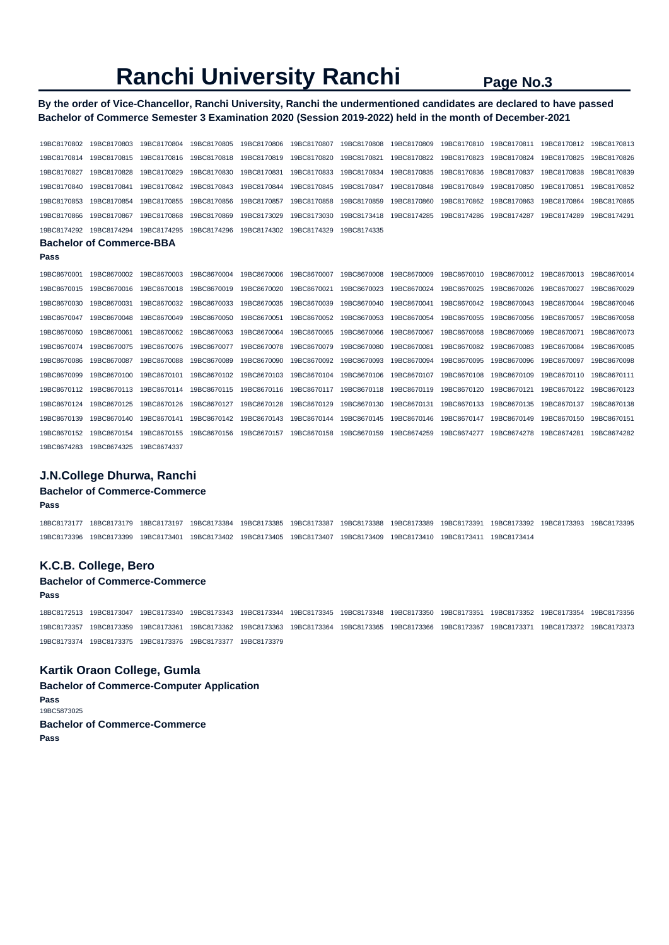**By the order of Vice-Chancellor, Ranchi University, Ranchi the undermentioned candidates are declared to have passed Bachelor of Commerce Semester 3 Examination 2020 (Session 2019-2022) held in the month of December-2021** 

| 19BC8170802 | 19BC8170803                     | 19BC8170804 | 19BC8170805 | 19BC8170806 | 19BC8170807 | 19BC8170808 | 19BC8170809 | 19BC8170810 | 19BC8170811 | 19BC8170812 | 19BC8170813 |
|-------------|---------------------------------|-------------|-------------|-------------|-------------|-------------|-------------|-------------|-------------|-------------|-------------|
|             |                                 |             |             |             |             |             |             |             |             |             |             |
| 19BC8170814 | 19BC8170815                     | 19BC8170816 | 19BC8170818 | 19BC8170819 | 19BC8170820 | 19BC8170821 | 19BC8170822 | 19BC8170823 | 19BC8170824 | 19BC8170825 | 19BC8170826 |
| 19BC8170827 | 19BC8170828                     | 19BC8170829 | 19BC8170830 | 19BC8170831 | 19BC8170833 | 19BC8170834 | 19BC8170835 | 19BC8170836 | 19BC8170837 | 19BC8170838 | 19BC8170839 |
| 19BC8170840 | 19BC8170841                     | 19BC8170842 | 19BC8170843 | 19BC8170844 | 19BC8170845 | 19BC8170847 | 19BC8170848 | 19BC8170849 | 19BC8170850 | 19BC8170851 | 19BC8170852 |
| 19BC8170853 | 19BC8170854                     | 19BC8170855 | 19BC8170856 | 19BC8170857 | 19BC8170858 | 19BC8170859 | 19BC8170860 | 19BC8170862 | 19BC8170863 | 19BC8170864 | 19BC8170865 |
| 19BC8170866 | 19BC8170867                     | 19BC8170868 | 19BC8170869 | 19BC8173029 | 19BC8173030 | 19BC8173418 | 19BC8174285 | 19BC8174286 | 19BC8174287 | 19BC8174289 | 19BC8174291 |
| 19BC8174292 | 19BC8174294                     | 19BC8174295 | 19BC8174296 | 19BC8174302 | 19BC8174329 | 19BC8174335 |             |             |             |             |             |
|             | <b>Bachelor of Commerce-BBA</b> |             |             |             |             |             |             |             |             |             |             |
| Pass        |                                 |             |             |             |             |             |             |             |             |             |             |
| 19BC8670001 | 19BC8670002                     | 19BC8670003 | 19BC8670004 | 19BC8670006 | 19BC8670007 | 19BC8670008 | 19BC8670009 | 19BC8670010 | 19BC8670012 | 19BC8670013 | 19BC8670014 |
| 19BC8670015 | 19BC8670016                     | 19BC8670018 | 19BC8670019 | 19BC8670020 | 19BC8670021 | 19BC8670023 | 19BC8670024 | 19BC8670025 | 19BC8670026 | 19BC8670027 | 19BC8670029 |
| 19BC8670030 | 19BC8670031                     | 19BC8670032 | 19BC8670033 | 19BC8670035 | 19BC8670039 | 19BC8670040 | 19BC8670041 | 19BC8670042 | 19BC8670043 | 19BC8670044 | 19BC8670046 |
| 19BC8670047 | 19BC8670048                     | 19BC8670049 | 19BC8670050 | 19BC8670051 | 19BC8670052 | 19BC8670053 | 19BC8670054 | 19BC8670055 | 19BC8670056 | 19BC8670057 | 19BC8670058 |
| 19BC8670060 | 19BC8670061                     | 19BC8670062 | 19BC8670063 | 19BC8670064 | 19BC8670065 | 19BC8670066 | 19BC8670067 | 19BC8670068 | 19BC8670069 | 19BC8670071 | 19BC8670073 |
| 19BC8670074 | 19BC8670075                     | 19BC8670076 | 19BC8670077 | 19BC8670078 | 19BC8670079 | 19BC8670080 | 19BC8670081 | 19BC8670082 | 19BC8670083 | 19BC8670084 | 19BC8670085 |
| 19BC8670086 | 19BC8670087                     | 19BC8670088 | 19BC8670089 | 19BC8670090 | 19BC8670092 | 19BC8670093 | 19BC8670094 | 19BC8670095 | 19BC8670096 | 19BC8670097 | 19BC8670098 |
| 19BC8670099 | 19BC8670100                     | 19BC8670101 | 19BC8670102 | 19BC8670103 | 19BC8670104 | 19BC8670106 | 19BC8670107 | 19BC8670108 | 19BC8670109 | 19BC8670110 | 19BC8670111 |
| 19BC8670112 | 19BC8670113                     | 19BC8670114 | 19BC8670115 | 19BC8670116 | 19BC8670117 | 19BC8670118 | 19BC8670119 | 19BC8670120 | 19BC8670121 | 19BC8670122 | 19BC8670123 |
| 19BC8670124 | 19BC8670125                     | 19BC8670126 | 19BC8670127 | 19BC8670128 | 19BC8670129 | 19BC8670130 | 19BC8670131 | 19BC8670133 | 19BC8670135 | 19BC8670137 | 19BC8670138 |
| 19BC8670139 | 19BC8670140                     | 19BC8670141 | 19BC8670142 | 19BC8670143 | 19BC8670144 | 19BC8670145 | 19BC8670146 | 19BC8670147 | 19BC8670149 | 19BC8670150 | 19BC8670151 |
| 19BC8670152 | 19BC8670154                     | 19BC8670155 | 19BC8670156 | 19BC8670157 | 19BC8670158 | 19BC8670159 | 19BC8674259 | 19BC8674277 | 19BC8674278 | 19BC8674281 | 19BC8674282 |
| 19BC8674283 | 19BC8674325                     | 19BC8674337 |             |             |             |             |             |             |             |             |             |

### **J.N.College Dhurwa, Ranchi**

#### **Bachelor of Commerce-Commerce**

**Pass** 

18BC8173177 18BC8173179 18BC8173197 19BC8173384 19BC8173385 19BC8173387 19BC8173388 19BC8173389 19BC8173391 19BC8173392 19BC8173393 19BC8173395 19BC8173396 19BC8173399 19BC8173401 19BC8173402 19BC8173405 19BC8173407 19BC8173409 19BC8173410 19BC8173411 19BC8173414

# **K.C.B. College, Bero**

# **Bachelor of Commerce-Commerce**

**Pass** 

18BC8172513 19BC8173047 19BC8173340 19BC8173343 19BC8173344 19BC8173345 19BC8173348 19BC8173350 19BC8173351 19BC8173352 19BC8173354 19BC8173356 19BC8173357 19BC8173359 19BC8173361 19BC8173362 19BC8173363 19BC8173364 19BC8173365 19BC8173366 19BC8173367 19BC8173371 19BC8173372 19BC8173373 19BC8173374 19BC8173375 19BC8173376 19BC8173377 19BC8173379

# **Kartik Oraon College, Gumla**

**Bachelor of Commerce-Computer Application Pass**  19BC5873025 **Bachelor of Commerce-Commerce Pass**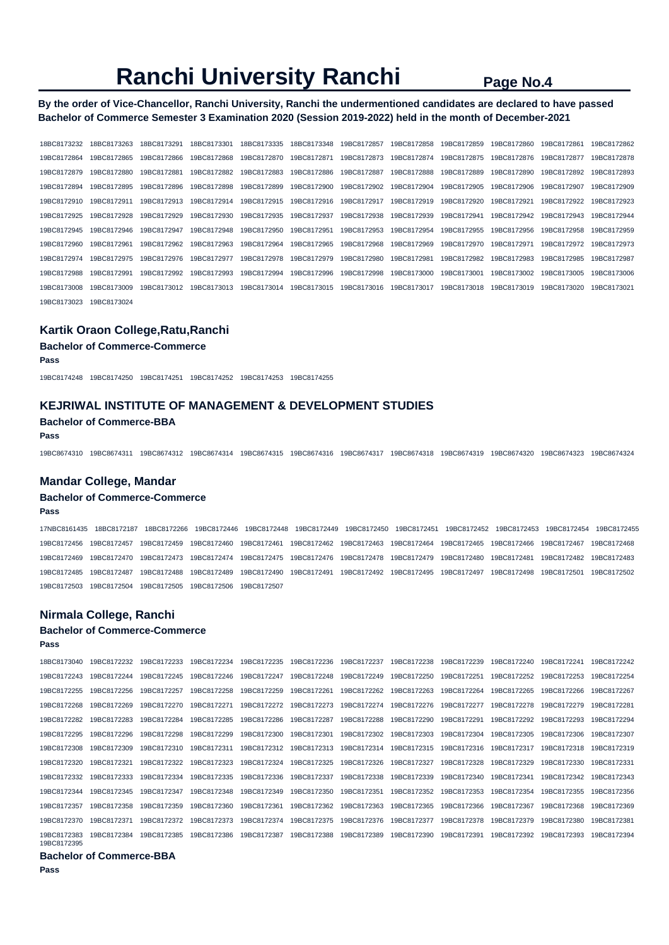**By the order of Vice-Chancellor, Ranchi University, Ranchi the undermentioned candidates are declared to have passed Bachelor of Commerce Semester 3 Examination 2020 (Session 2019-2022) held in the month of December-2021** 

18BC8173232 18BC8173263 18BC8173291 18BC8173301 18BC8173335 18BC8173348 19BC8172857 19BC8172858 19BC8172859 19BC8172860 19BC8172861 19BC8172862 19BC8172864 19BC8172865 19BC8172866 19BC8172868 19BC8172870 19BC8172871 19BC8172873 19BC8172874 19BC8172875 19BC8172876 19BC8172877 19BC8172878 19BC8172879 19BC8172880 19BC8172881 19BC8172882 19BC8172883 19BC8172886 19BC8172887 19BC8172888 19BC8172889 19BC8172890 19BC8172892 19BC8172893 19BC8172894 19BC8172895 19BC8172896 19BC8172898 19BC8172899 19BC8172900 19BC8172902 19BC8172904 19BC8172905 19BC8172906 19BC8172907 19BC8172909 19BC8172910 19BC8172911 19BC8172913 19BC8172914 19BC8172915 19BC8172916 19BC8172917 19BC8172919 19BC8172920 19BC8172921 19BC8172922 19BC8172923 19BC8172925 19BC8172928 19BC8172929 19BC8172930 19BC8172935 19BC8172937 19BC8172938 19BC8172939 19BC8172941 19BC8172942 19BC8172943 19BC8172944 19BC8172945 19BC8172946 19BC8172947 19BC8172948 19BC8172950 19BC8172951 19BC8172953 19BC8172954 19BC8172955 19BC8172956 19BC8172958 19BC8172959 19BC8172960 19BC8172961 19BC8172962 19BC8172963 19BC8172964 19BC8172965 19BC8172968 19BC8172969 19BC8172970 19BC8172971 19BC8172972 19BC8172973 19BC8172974 19BC8172975 19BC8172976 19BC8172977 19BC8172978 19BC8172979 19BC8172980 19BC8172981 19BC8172982 19BC8172983 19BC8172985 19BC8172987 19BC8172988 19BC8172991 19BC8172992 19BC8172993 19BC8172994 19BC8172996 19BC8172998 19BC8173000 19BC8173001 19BC8173002 19BC8173005 19BC8173006 19BC8173008 19BC8173009 19BC8173012 19BC8173013 19BC8173014 19BC8173015 19BC8173016 19BC8173017 19BC8173018 19BC8173019 19BC8173020 19BC8173021 19BC8173023 19BC8173024

### **Kartik Oraon College,Ratu,Ranchi**

**Bachelor of Commerce-Commerce** 

**Pass** 

19BC8174248 19BC8174250 19BC8174251 19BC8174252 19BC8174253 19BC8174255

### **KEJRIWAL INSTITUTE OF MANAGEMENT & DEVELOPMENT STUDIES**

**Bachelor of Commerce-BBA** 

```
Pass
```
19BC8674310 19BC8674311 19BC8674312 19BC8674314 19BC8674315 19BC8674316 19BC8674317 19BC8674318 19BC8674319 19BC8674320 19BC8674323 19BC8674324

#### **Mandar College, Mandar**

### **Bachelor of Commerce-Commerce**

#### **Pass**

17NBC8161435 18BC8172187 18BC8172266 19BC8172446 19BC8172448 19BC8172449 19BC8172450 19BC8172451 19BC8172452 19BC8172453 19BC8172454 19BC8172455 19BC8172456 19BC8172457 19BC8172459 19BC8172460 19BC8172461 19BC8172462 19BC8172463 19BC8172464 19BC8172465 19BC8172466 19BC8172467 19BC8172468 19BC8172469 19BC8172470 19BC8172473 19BC8172474 19BC8172475 19BC8172476 19BC8172478 19BC8172479 19BC8172480 19BC8172481 19BC8172482 19BC8172483 19BC8172485 19BC8172487 19BC8172488 19BC8172489 19BC8172490 19BC8172491 19BC8172492 19BC8172495 19BC8172497 19BC8172498 19BC8172501 19BC8172502 19BC8172503 19BC8172504 19BC8172505 19BC8172506 19BC8172507

#### **Nirmala College, Ranchi**

### **Bachelor of Commerce-Commerce**

```
Pass
```

| 18BC8173040                | 19BC8172232 | 19BC8172233 | 19BC8172234 | 19BC8172235 | 19BC8172236 | 19BC8172237 | 19BC8172238              | 19BC8172239 | 19BC8172240 | 19BC8172241 | 19BC8172242 |
|----------------------------|-------------|-------------|-------------|-------------|-------------|-------------|--------------------------|-------------|-------------|-------------|-------------|
| 19BC8172243                | 19BC8172244 | 19BC8172245 | 19BC8172246 | 19BC8172247 | 19BC8172248 | 19BC8172249 | 19BC8172250              | 19BC8172251 | 19BC8172252 | 19BC8172253 | 19BC8172254 |
| 19BC8172255                | 19BC8172256 | 19BC8172257 | 19BC8172258 | 19BC8172259 | 19BC8172261 | 19BC8172262 | 19BC8172263              | 19BC8172264 | 19BC8172265 | 19BC8172266 | 19BC8172267 |
| 19BC8172268                | 19BC8172269 | 19BC8172270 | 19BC8172271 | 19BC8172272 | 19BC8172273 | 19BC8172274 | 19BC8172276              | 19BC8172277 | 19BC8172278 | 19BC8172279 | 19BC8172281 |
| 19BC8172282                | 19BC8172283 | 19BC8172284 | 19BC8172285 | 19BC8172286 | 19BC8172287 | 19BC8172288 | 19BC8172290              | 19BC8172291 | 19BC8172292 | 19BC8172293 | 19BC8172294 |
| 19BC8172295                | 19BC8172296 | 19BC8172298 | 19BC8172299 | 19BC8172300 | 19BC8172301 |             |                          | 19BC8172304 | 19BC8172305 | 19BC8172306 | 19BC8172307 |
| 19BC8172308                | 19BC8172309 | 19BC8172310 | 19BC8172311 | 19BC8172312 | 19BC8172313 | 19BC8172314 | 19BC8172315              | 19BC8172316 | 19BC8172317 | 19BC8172318 | 19BC8172319 |
| 19BC8172320                | 19BC8172321 | 19BC8172322 | 19BC8172323 | 19BC8172324 | 19BC8172325 | 19BC8172326 | 19BC8172327              | 19BC8172328 | 19BC8172329 | 19BC8172330 | 19BC8172331 |
| 19BC8172332                | 19BC8172333 | 19BC8172334 | 19BC8172335 | 19BC8172336 | 19BC8172337 | 19BC8172338 | 19BC8172339              | 19BC8172340 | 19BC8172341 | 19BC8172342 | 19BC8172343 |
| 19BC8172344                | 19BC8172345 | 19BC8172347 | 19BC8172348 | 19BC8172349 | 19BC8172350 | 19BC8172351 | 19BC8172352              | 19BC8172353 | 19BC8172354 | 19BC8172355 | 19BC8172356 |
| 19BC8172357                | 19BC8172358 | 19BC8172359 | 19BC8172360 | 19BC8172361 | 19BC8172362 | 19BC8172363 | 19BC8172365              | 19BC8172366 | 19BC8172367 | 19BC8172368 | 19BC8172369 |
| 19BC8172370                | 19BC8172371 | 19BC8172372 | 19BC8172373 | 19BC8172374 | 19BC8172375 |             | 19BC8172376  19BC8172377 | 19BC8172378 | 19BC8172379 | 19BC8172380 | 19BC8172381 |
| 19BC8172383<br>19BC8172395 | 19BC8172384 | 19BC8172385 | 19BC8172386 | 19BC8172387 | 19BC8172388 | 19BC8172389 | 19BC8172390              | 19BC8172391 | 19BC8172392 | 19BC8172393 | 19BC8172394 |

**Bachelor of Commerce-BBA**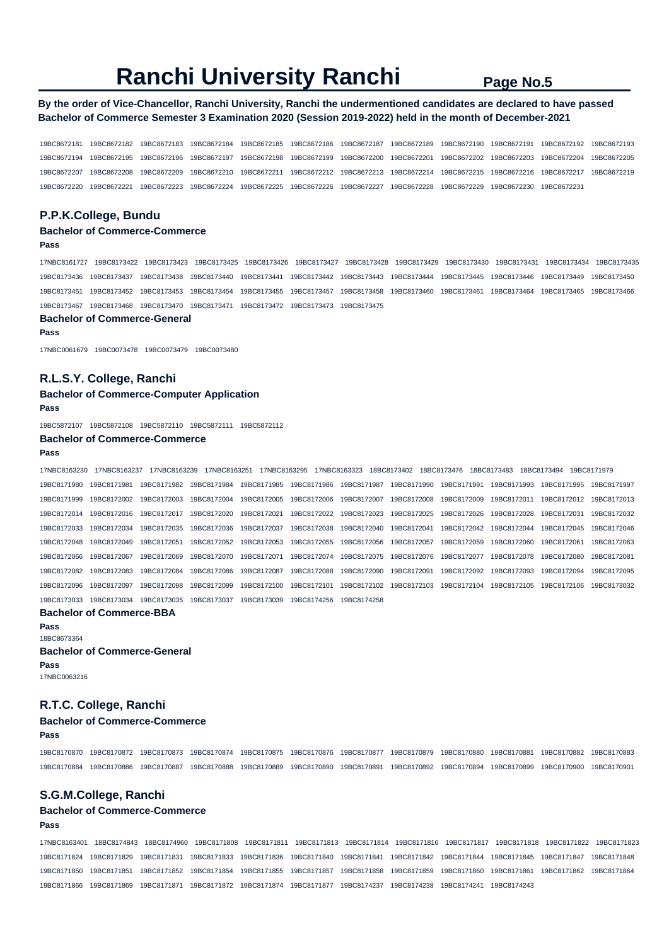# **By the order of Vice-Chancellor, Ranchi University, Ranchi the undermentioned candidates are declared to have passed Bachelor of Commerce Semester 3 Examination 2020 (Session 2019-2022) held in the month of December-2021**

19BC8672181 19BC8672182 19BC8672183 19BC8672184 19BC8672185 19BC8672186 19BC8672187 19BC8672189 19BC8672190 19BC8672191 19BC8672192 19BC8672193 19BC8672194 19BC8672195 19BC8672196 19BC8672197 19BC8672198 19BC8672199 19BC8672200 19BC8672201 19BC8672202 19BC8672203 19BC8672204 19BC8672205 19BC8672207 19BC8672208 19BC8672209 19BC8672210 19BC8672211 19BC8672212 19BC8672213 19BC8672214 19BC8672215 19BC8672216 19BC8672217 19BC8672219 19BC8672220 19BC8672221 19BC8672223 19BC8672224 19BC8672225 19BC8672226 19BC8672227 19BC8672228 19BC8672229 19BC8672230 19BC8672231

# **P.P.K.College, Bundu**

# **Bachelor of Commerce-Commerce**

**Pass** 

17NBC8161727 19BC8173422 19BC8173423 19BC8173425 19BC8173426 19BC8173427 19BC8173428 19BC8173429 19BC8173430 19BC8173431 19BC8173434 19BC8173435 19BC8173436 19BC8173437 19BC8173438 19BC8173440 19BC8173441 19BC8173442 19BC8173443 19BC8173444 19BC8173445 19BC8173446 19BC8173449 19BC8173450 19BC8173451 19BC8173452 19BC8173453 19BC8173454 19BC8173455 19BC8173457 19BC8173458 19BC8173460 19BC8173461 19BC8173464 19BC8173465 19BC8173466 19BC8173467 19BC8173468 19BC8173470 19BC8173471 19BC8173472 19BC8173473 19BC8173475

**Bachelor of Commerce-General** 

**Pass** 

17NBC0061679 19BC0073478 19BC0073479 19BC0073480

# **R.L.S.Y. College, Ranchi**

# **Bachelor of Commerce-Computer Application**

**Pass** 

19BC5872107 19BC5872108 19BC5872110 19BC5872111 19BC5872112

#### **Bachelor of Commerce-Commerce**

#### **Pass**

17NBC8163230 17NBC8163237 17NBC8163239 17NBC8163251 17NBC8163295 17NBC8163323 18BC8173402 18BC8173476 18BC8173483 18BC8173494 19BC8171979 19BC8171980 19BC8171981 19BC8171982 19BC8171984 19BC8171985 19BC8171986 19BC8171987 19BC8171990 19BC8171991 19BC8171993 19BC8171995 19BC8171997 19BC8171999 19BC8172002 19BC8172003 19BC8172004 19BC8172005 19BC8172006 19BC8172007 19BC8172008 19BC8172009 19BC8172011 19BC8172012 19BC8172013 19BC8172014 19BC8172016 19BC8172017 19BC8172020 19BC8172021 19BC8172022 19BC8172023 19BC8172025 19BC8172026 19BC8172028 19BC8172031 19BC8172032 19BC8172033 19BC8172034 19BC8172035 19BC8172036 19BC8172037 19BC8172038 19BC8172040 19BC8172041 19BC8172042 19BC8172044 19BC8172045 19BC8172046 19BC8172048 19BC8172049 19BC8172051 19BC8172052 19BC8172053 19BC8172055 19BC8172056 19BC8172057 19BC8172059 19BC8172060 19BC8172061 19BC8172063 19BC8172066 19BC8172067 19BC8172069 19BC8172070 19BC8172071 19BC8172074 19BC8172075 19BC8172076 19BC8172077 19BC8172078 19BC8172080 19BC8172081 19BC8172082 19BC8172083 19BC8172084 19BC8172086 19BC8172087 19BC8172088 19BC8172090 19BC8172091 19BC8172092 19BC8172093 19BC8172094 19BC8172095 19BC8172096 19BC8172097 19BC8172098 19BC8172099 19BC8172100 19BC8172101 19BC8172102 19BC8172103 19BC8172104 19BC8172105 19BC8172106 19BC8173032 19BC8173033 19BC8173034 19BC8173035 19BC8173037 19BC8173039 19BC8174256 19BC8174258

#### **Bachelor of Commerce-BBA Pass**

18BC8673364 **Bachelor of Commerce-General Pass**  17NBC0063216

#### **R.T.C. College, Ranchi**

# **Bachelor of Commerce-Commerce**

**Pass** 

19BC8170870 19BC8170872 19BC8170873 19BC8170874 19BC8170875 19BC8170876 19BC8170877 19BC8170879 19BC8170880 19BC8170881 19BC8170882 19BC8170883 19BC8170884 19BC8170886 19BC8170887 19BC8170888 19BC8170889 19BC8170890 19BC8170891 19BC8170892 19BC8170894 19BC8170899 19BC8170900 19BC8170901

# **S.G.M.College, Ranchi**

# **Bachelor of Commerce-Commerce**

**Pass** 

17NBC8163401 18BC8174843 18BC8174960 19BC8171808 19BC8171811 19BC8171813 19BC8171814 19BC8171816 19BC8171817 19BC8171818 19BC8171822 19BC8171823 19BC8171824 19BC8171829 19BC8171831 19BC8171833 19BC8171836 19BC8171840 19BC8171841 19BC8171842 19BC8171844 19BC8171845 19BC8171847 19BC8171848 19BC8171850 19BC8171851 19BC8171852 19BC8171854 19BC8171855 19BC8171857 19BC8171858 19BC8171859 19BC8171860 19BC8171861 19BC8171862 19BC8171864 19BC8171866 19BC8171869 19BC8171871 19BC8171872 19BC8171874 19BC8171877 19BC8174237 19BC8174238 19BC8174241 19BC8174243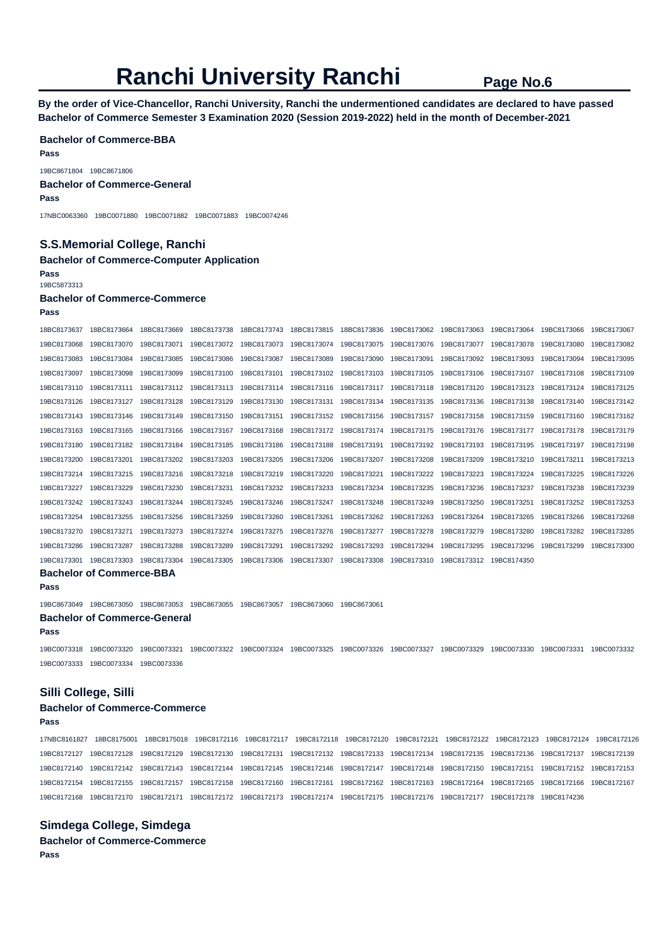**By the order of Vice-Chancellor, Ranchi University, Ranchi the undermentioned candidates are declared to have passed Bachelor of Commerce Semester 3 Examination 2020 (Session 2019-2022) held in the month of December-2021** 

**Bachelor of Commerce-BBA Pass** 

#### 19BC8671804 19BC8671806 **Bachelor of Commerce-General**

**Pass** 

17NBC0063360 19BC0071880 19BC0071882 19BC0071883 19BC0074246

# **S.S.Memorial College, Ranchi**

# **Bachelor of Commerce-Computer Application**

**Pass** 

19BC5873313

# **Bachelor of Commerce-Commerce**

**Pass** 

| 18BC8173637 | 18BC8173664                     | 18BC8173669 | 18BC8173738 | 18BC8173743 | 18BC8173815 | 18BC8173836 | 19BC8173062 | 19BC8173063 | 19BC8173064 | 19BC8173066 | 19BC8173067 |
|-------------|---------------------------------|-------------|-------------|-------------|-------------|-------------|-------------|-------------|-------------|-------------|-------------|
| 19BC8173068 | 19BC8173070                     | 19BC8173071 | 19BC8173072 | 19BC8173073 | 19BC8173074 | 19BC8173075 | 19BC8173076 | 19BC8173077 | 19BC8173078 | 19BC8173080 | 19BC8173082 |
| 19BC8173083 | 19BC8173084                     | 19BC8173085 | 19BC8173086 | 19BC8173087 | 19BC8173089 | 19BC8173090 | 19BC8173091 | 19BC8173092 | 19BC8173093 | 19BC8173094 | 19BC8173095 |
| 19BC8173097 | 19BC8173098                     | 19BC8173099 | 19BC8173100 | 19BC8173101 | 19BC8173102 | 19BC8173103 | 19BC8173105 | 19BC8173106 | 19BC8173107 | 19BC8173108 | 19BC8173109 |
| 19BC8173110 | 19BC8173111                     | 19BC8173112 | 19BC8173113 | 19BC8173114 | 19BC8173116 | 19BC8173117 | 19BC8173118 | 19BC8173120 | 19BC8173123 | 19BC8173124 | 19BC8173125 |
| 19BC8173126 | 19BC8173127                     | 19BC8173128 | 19BC8173129 | 19BC8173130 | 19BC8173131 | 19BC8173134 | 19BC8173135 | 19BC8173136 | 19BC8173138 | 19BC8173140 | 19BC8173142 |
| 19BC8173143 | 19BC8173146                     | 19BC8173149 | 19BC8173150 | 19BC8173151 | 19BC8173152 | 19BC8173156 | 19BC8173157 | 19BC8173158 | 19BC8173159 | 19BC8173160 | 19BC8173162 |
| 19BC8173163 | 19BC8173165                     | 19BC8173166 | 19BC8173167 | 19BC8173168 | 19BC8173172 | 19BC8173174 | 19BC8173175 | 19BC8173176 | 19BC8173177 | 19BC8173178 | 19BC8173179 |
| 19BC8173180 | 19BC8173182                     | 19BC8173184 | 19BC8173185 | 19BC8173186 | 19BC8173188 | 19BC8173191 | 19BC8173192 | 19BC8173193 | 19BC8173195 | 19BC8173197 | 19BC8173198 |
| 19BC8173200 | 19BC8173201                     | 19BC8173202 | 19BC8173203 | 19BC8173205 | 19BC8173206 | 19BC8173207 | 19BC8173208 | 19BC8173209 | 19BC8173210 | 19BC8173211 | 19BC8173213 |
| 19BC8173214 | 19BC8173215                     | 19BC8173216 | 19BC8173218 | 19BC8173219 | 19BC8173220 | 19BC8173221 | 19BC8173222 | 19BC8173223 | 19BC8173224 | 19BC8173225 | 19BC8173226 |
| 19BC8173227 | 19BC8173229                     | 19BC8173230 | 19BC8173231 | 19BC8173232 | 19BC8173233 | 19BC8173234 | 19BC8173235 | 19BC8173236 | 19BC8173237 | 19BC8173238 | 19BC8173239 |
| 19BC8173242 | 19BC8173243                     | 19BC8173244 | 19BC8173245 | 19BC8173246 | 19BC8173247 | 19BC8173248 | 19BC8173249 | 19BC8173250 | 19BC8173251 | 19BC8173252 | 19BC8173253 |
| 19BC8173254 | 19BC8173255                     | 19BC8173256 | 19BC8173259 | 19BC8173260 | 19BC8173261 | 19BC8173262 | 19BC8173263 | 19BC8173264 | 19BC8173265 | 19BC8173266 | 19BC8173268 |
| 19BC8173270 | 19BC8173271                     | 19BC8173273 | 19BC8173274 | 19BC8173275 | 19BC8173276 | 19BC8173277 | 19BC8173278 | 19BC8173279 | 19BC8173280 | 19BC8173282 | 19BC8173285 |
| 19BC8173286 | 19BC8173287                     | 19BC8173288 | 19BC8173289 | 19BC8173291 | 19BC8173292 | 19BC8173293 | 19BC8173294 | 19BC8173295 | 19BC8173296 | 19BC8173299 | 19BC8173300 |
| 19BC8173301 | 19BC8173303                     | 19BC8173304 | 19BC8173305 | 19BC8173306 | 19BC8173307 | 19BC8173308 | 19BC8173310 | 19BC8173312 | 19BC8174350 |             |             |
|             | <b>Bachelor of Commerce-BBA</b> |             |             |             |             |             |             |             |             |             |             |

#### **Pass**

**Pass** 

19BC8673049 19BC8673050 19BC8673053 19BC8673055 19BC8673057 19BC8673060 19BC8673061

**Bachelor of Commerce-General** 

19BC0073333 19BC0073334 19BC0073336

19BC0073318 19BC0073320 19BC0073321 19BC0073322 19BC0073324 19BC0073325 19BC0073326 19BC0073327 19BC0073329 19BC0073330 19BC0073331 19BC0073332

# **Silli College, Silli**

# **Bachelor of Commerce-Commerce**

**Pass** 

17NBC8161827 18BC8175001 18BC8175018 19BC8172116 19BC8172117 19BC8172118 19BC8172120 19BC8172121 19BC8172122 19BC8172123 19BC8172124 19BC8172126 19BC8172127 19BC8172128 19BC8172129 19BC8172130 19BC8172131 19BC8172132 19BC8172133 19BC8172134 19BC8172135 19BC8172136 19BC8172137 19BC8172139 19BC8172140 19BC8172142 19BC8172143 19BC8172144 19BC8172145 19BC8172146 19BC8172147 19BC8172148 19BC8172150 19BC8172151 19BC8172152 19BC8172153 19BC8172154 19BC8172155 19BC8172157 19BC8172158 19BC8172160 19BC8172161 19BC8172162 19BC8172163 19BC8172164 19BC8172165 19BC8172166 19BC8172167 19BC8172168 19BC8172170 19BC8172171 19BC8172172 19BC8172173 19BC8172174 19BC8172175 19BC8172176 19BC8172177 19BC8172178 19BC8174236

# **Simdega College, Simdega**

**Bachelor of Commerce-Commerce** 

**Pass**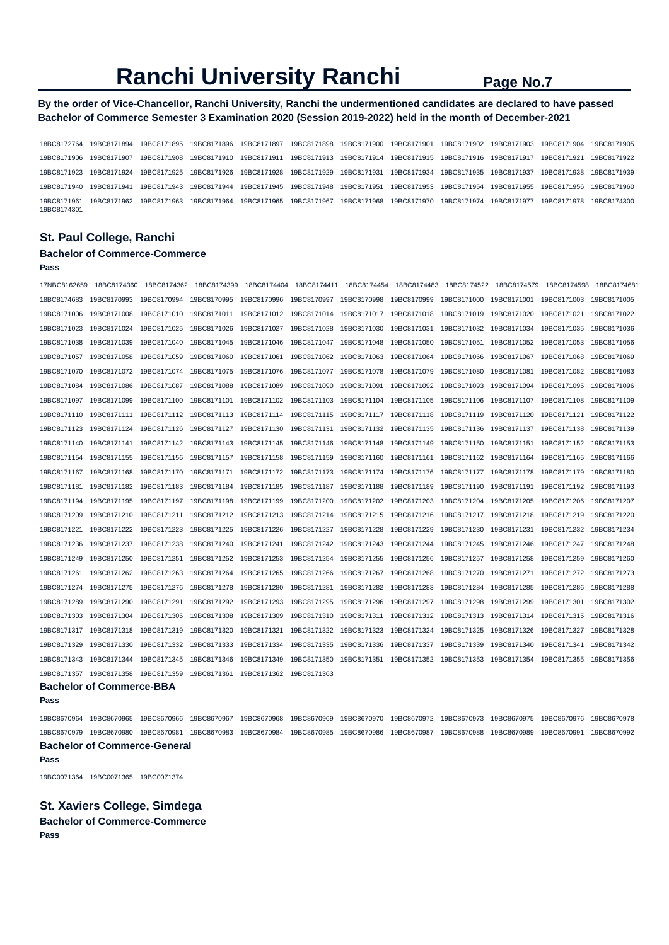**By the order of Vice-Chancellor, Ranchi University, Ranchi the undermentioned candidates are declared to have passed Bachelor of Commerce Semester 3 Examination 2020 (Session 2019-2022) held in the month of December-2021** 

18BC8172764 19BC8171894 19BC8171895 19BC8171896 19BC8171897 19BC8171898 19BC8171900 19BC8171901 19BC8171902 19BC8171903 19BC8171904 19BC8171905 19BC8171906 19BC8171907 19BC8171908 19BC8171910 19BC8171911 19BC8171913 19BC8171914 19BC8171915 19BC8171916 19BC8171917 19BC8171921 19BC8171922 19BC8171923 19BC8171924 19BC8171925 19BC8171926 19BC8171928 19BC8171929 19BC8171931 19BC8171934 19BC8171935 19BC8171937 19BC8171938 19BC8171939 19BC8171940 19BC8171941 19BC8171943 19BC8171944 19BC8171945 19BC8171948 19BC8171951 19BC8171953 19BC8171954 19BC8171955 19BC8171956 19BC8171960 19BC8171961 19BC8171962 19BC8171963 19BC8171964 19BC8171965 19BC8171967 19BC8171968 19BC8171970 19BC8171974 19BC8171977 19BC8171978 19BC8174300 19BC8174301

# **St. Paul College, Ranchi**

#### **Bachelor of Commerce-Commerce Pass**

| 17NBC8162659 | 18BC8174360                     | 18BC8174362                         | 18BC8174399 | 18BC8174404 | 18BC8174411 | 18BC8174454 | 18BC8174483 | 18BC8174522 | 18BC8174579 | 18BC8174598 | 18BC8174681 |
|--------------|---------------------------------|-------------------------------------|-------------|-------------|-------------|-------------|-------------|-------------|-------------|-------------|-------------|
| 18BC8174683  | 19BC8170993                     | 19BC8170994                         | 19BC8170995 | 19BC8170996 | 19BC8170997 | 19BC8170998 | 19BC8170999 | 19BC8171000 | 19BC8171001 | 19BC8171003 | 19BC8171005 |
| 19BC8171006  | 19BC8171008                     | 19BC8171010                         | 19BC8171011 | 19BC8171012 | 19BC8171014 | 19BC8171017 | 19BC8171018 | 19BC8171019 | 19BC8171020 | 19BC8171021 | 19BC8171022 |
| 19BC8171023  | 19BC8171024                     | 19BC8171025                         | 19BC8171026 | 19BC8171027 | 19BC8171028 | 19BC8171030 | 19BC8171031 | 19BC8171032 | 19BC8171034 | 19BC8171035 | 19BC8171036 |
| 19BC8171038  | 19BC8171039                     | 19BC8171040                         | 19BC8171045 | 19BC8171046 | 19BC8171047 | 19BC8171048 | 19BC8171050 | 19BC8171051 | 19BC8171052 | 19BC8171053 | 19BC8171056 |
| 19BC8171057  | 19BC8171058                     | 19BC8171059                         | 19BC8171060 | 19BC8171061 | 19BC8171062 | 19BC8171063 | 19BC8171064 | 19BC8171066 | 19BC8171067 | 19BC8171068 | 19BC8171069 |
| 19BC8171070  | 19BC8171072                     | 19BC8171074                         | 19BC8171075 | 19BC8171076 | 19BC8171077 | 19BC8171078 | 19BC8171079 | 19BC8171080 | 19BC8171081 | 19BC8171082 | 19BC8171083 |
| 19BC8171084  | 19BC8171086                     | 19BC8171087                         | 19BC8171088 | 19BC8171089 | 19BC8171090 | 19BC8171091 | 19BC8171092 | 19BC8171093 | 19BC8171094 | 19BC8171095 | 19BC8171096 |
| 19BC8171097  | 19BC8171099                     | 19BC8171100                         | 19BC8171101 | 19BC8171102 | 19BC8171103 | 19BC8171104 | 19BC8171105 | 19BC8171106 | 19BC8171107 | 19BC8171108 | 19BC8171109 |
| 19BC8171110  | 19BC8171111                     | 19BC8171112                         | 19BC8171113 | 19BC8171114 | 19BC8171115 | 19BC8171117 | 19BC8171118 | 19BC8171119 | 19BC8171120 | 19BC8171121 | 19BC8171122 |
| 19BC8171123  | 19BC8171124                     | 19BC8171126                         | 19BC8171127 | 19BC8171130 | 19BC8171131 | 19BC8171132 | 19BC8171135 | 19BC8171136 | 19BC8171137 | 19BC8171138 | 19BC8171139 |
| 19BC8171140  | 19BC8171141                     | 19BC8171142                         | 19BC8171143 | 19BC8171145 | 19BC8171146 | 19BC8171148 | 19BC8171149 | 19BC8171150 | 19BC8171151 | 19BC8171152 | 19BC8171153 |
| 19BC8171154  | 19BC8171155                     | 19BC8171156                         | 19BC8171157 | 19BC8171158 | 19BC8171159 | 19BC8171160 | 19BC8171161 | 19BC8171162 | 19BC8171164 | 19BC8171165 | 19BC8171166 |
| 19BC8171167  | 19BC8171168                     | 19BC8171170                         | 19BC8171171 | 19BC8171172 | 19BC8171173 | 19BC8171174 | 19BC8171176 | 19BC8171177 | 19BC8171178 | 19BC8171179 | 19BC8171180 |
| 19BC8171181  | 19BC8171182                     | 19BC8171183                         | 19BC8171184 | 19BC8171185 | 19BC8171187 | 19BC8171188 | 19BC8171189 | 19BC8171190 | 19BC8171191 | 19BC8171192 | 19BC8171193 |
| 19BC8171194  | 19BC8171195                     | 19BC8171197                         | 19BC8171198 | 19BC8171199 | 19BC8171200 | 19BC8171202 | 19BC8171203 | 19BC8171204 | 19BC8171205 | 19BC8171206 | 19BC8171207 |
| 19BC8171209  | 19BC8171210                     | 19BC8171211                         | 19BC8171212 | 19BC8171213 | 19BC8171214 | 19BC8171215 | 19BC8171216 | 19BC8171217 | 19BC8171218 | 19BC8171219 | 19BC8171220 |
| 19BC8171221  | 19BC8171222                     | 19BC8171223                         | 19BC8171225 | 19BC8171226 | 19BC8171227 | 19BC8171228 | 19BC8171229 | 19BC8171230 | 19BC8171231 | 19BC8171232 | 19BC8171234 |
| 19BC8171236  | 19BC8171237                     | 19BC8171238                         | 19BC8171240 | 19BC8171241 | 19BC8171242 | 19BC8171243 | 19BC8171244 | 19BC8171245 | 19BC8171246 | 19BC8171247 | 19BC8171248 |
| 19BC8171249  | 19BC8171250                     | 19BC8171251                         | 19BC8171252 | 19BC8171253 | 19BC8171254 | 19BC8171255 | 19BC8171256 | 19BC8171257 | 19BC8171258 | 19BC8171259 | 19BC8171260 |
| 19BC8171261  | 19BC8171262                     | 19BC8171263                         | 19BC8171264 | 19BC8171265 | 19BC8171266 | 19BC8171267 | 19BC8171268 | 19BC8171270 | 19BC8171271 | 19BC8171272 | 19BC8171273 |
| 19BC8171274  | 19BC8171275                     | 19BC8171276                         | 19BC8171278 | 19BC8171280 | 19BC8171281 | 19BC8171282 | 19BC8171283 | 19BC8171284 | 19BC8171285 | 19BC8171286 | 19BC8171288 |
| 19BC8171289  | 19BC8171290                     | 19BC8171291                         | 19BC8171292 | 19BC8171293 | 19BC8171295 | 19BC8171296 | 19BC8171297 | 19BC8171298 | 19BC8171299 | 19BC8171301 | 19BC8171302 |
| 19BC8171303  | 19BC8171304                     | 19BC8171305                         | 19BC8171308 | 19BC8171309 | 19BC8171310 | 19BC8171311 | 19BC8171312 | 19BC8171313 | 19BC8171314 | 19BC8171315 | 19BC8171316 |
| 19BC8171317  | 19BC8171318                     | 19BC8171319                         | 19BC8171320 | 19BC8171321 | 19BC8171322 | 19BC8171323 | 19BC8171324 | 19BC8171325 | 19BC8171326 | 19BC8171327 | 19BC8171328 |
| 19BC8171329  | 19BC8171330                     | 19BC8171332                         | 19BC8171333 | 19BC8171334 | 19BC8171335 | 19BC8171336 | 19BC8171337 | 19BC8171339 | 19BC8171340 | 19BC8171341 | 19BC8171342 |
| 19BC8171343  | 19BC8171344                     | 19BC8171345                         | 19BC8171346 | 19BC8171349 | 19BC8171350 | 19BC8171351 | 19BC8171352 | 19BC8171353 | 19BC8171354 | 19BC8171355 | 19BC8171356 |
| 19BC8171357  | 19BC8171358                     | 19BC8171359                         | 19BC8171361 | 19BC8171362 | 19BC8171363 |             |             |             |             |             |             |
|              | <b>Bachelor of Commerce-BBA</b> |                                     |             |             |             |             |             |             |             |             |             |
| Pass         |                                 |                                     |             |             |             |             |             |             |             |             |             |
| 19BC8670964  | 19BC8670965                     | 19BC8670966                         | 19BC8670967 | 19BC8670968 | 19BC8670969 | 19BC8670970 | 19BC8670972 | 19BC8670973 | 19BC8670975 | 19BC8670976 | 19BC8670978 |
| 19BC8670979  | 19BC8670980                     | 19BC8670981                         | 19BC8670983 | 19BC8670984 | 19BC8670985 | 19BC8670986 | 19BC8670987 | 19BC8670988 | 19BC8670989 | 19BC8670991 | 19BC8670992 |
|              |                                 | <b>Bachelor of Commerce-General</b> |             |             |             |             |             |             |             |             |             |

# **Pass**

19BC0071364 19BC0071365 19BC0071374

# **St. Xaviers College, Simdega**

**Bachelor of Commerce-Commerce** 

**Pass**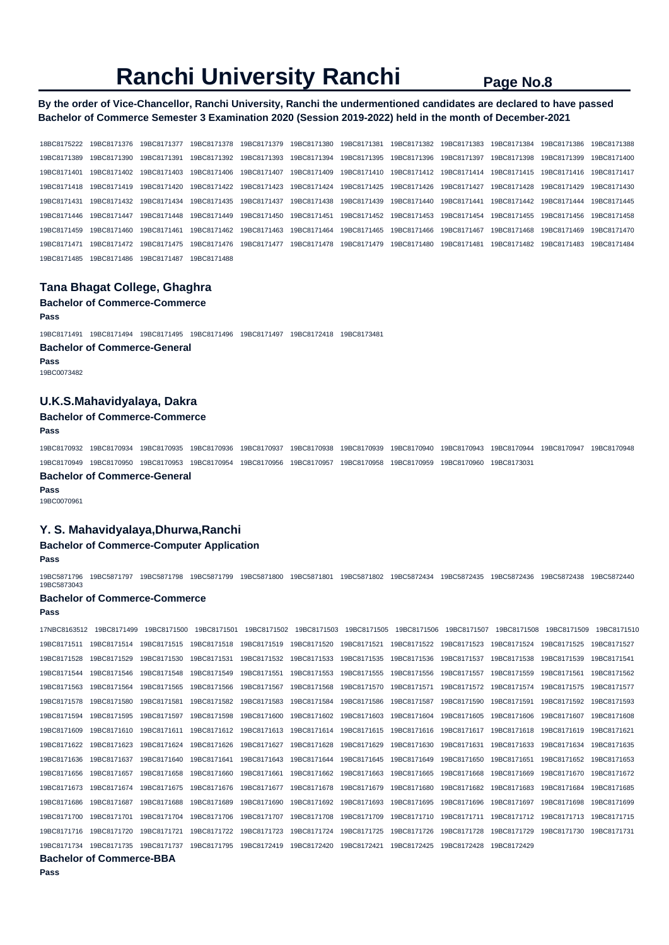**By the order of Vice-Chancellor, Ranchi University, Ranchi the undermentioned candidates are declared to have passed Bachelor of Commerce Semester 3 Examination 2020 (Session 2019-2022) held in the month of December-2021** 

18BC8175222 19BC8171376 19BC8171377 19BC8171378 19BC8171379 19BC8171380 19BC8171381 19BC8171382 19BC8171383 19BC8171384 19BC8171386 19BC8171388 19BC8171389 19BC8171390 19BC8171391 19BC8171392 19BC8171393 19BC8171394 19BC8171395 19BC8171396 19BC8171397 19BC8171398 19BC8171399 19BC8171400 19BC8171401 19BC8171402 19BC8171403 19BC8171406 19BC8171407 19BC8171409 19BC8171410 19BC8171412 19BC8171414 19BC8171415 19BC8171416 19BC8171417 19BC8171418 19BC8171419 19BC8171420 19BC8171422 19BC8171423 19BC8171424 19BC8171425 19BC8171426 19BC8171427 19BC8171428 19BC8171429 19BC8171430 19BC8171431 19BC8171432 19BC8171434 19BC8171435 19BC8171437 19BC8171438 19BC8171439 19BC8171440 19BC8171441 19BC8171442 19BC8171444 19BC8171445 19BC8171446 19BC8171447 19BC8171448 19BC8171449 19BC8171450 19BC8171451 19BC8171452 19BC8171453 19BC8171454 19BC8171455 19BC8171456 19BC8171458 19BC8171459 19BC8171460 19BC8171461 19BC8171462 19BC8171463 19BC8171464 19BC8171465 19BC8171466 19BC8171467 19BC8171468 19BC8171469 19BC8171470 19BC8171471 19BC8171472 19BC8171475 19BC8171476 19BC8171477 19BC8171478 19BC8171479 19BC8171480 19BC8171481 19BC8171482 19BC8171483 19BC8171484 19BC8171485 19BC8171486 19BC8171487 19BC8171488

#### **Tana Bhagat College, Ghaghra**

# **Bachelor of Commerce-Commerce**

**Pass** 

19BC8171491 19BC8171494 19BC8171495 19BC8171496 19BC8171497 19BC8172418 19BC8173481

**Bachelor of Commerce-General** 

**Pass** 

19BC0073482

### **U.K.S.Mahavidyalaya, Dakra**

# **Bachelor of Commerce-Commerce Pass**

19BC8170932 19BC8170934 19BC8170935 19BC8170936 19BC8170937 19BC8170938 19BC8170939 19BC8170940 19BC8170943 19BC8170944 19BC8170947 19BC8170948 19BC8170949 19BC8170950 19BC8170953 19BC8170954 19BC8170956 19BC8170957 19BC8170958 19BC8170959 19BC8170960 19BC8173031

# **Bachelor of Commerce-General**

**Pass**  19BC0070961

# **Y. S. Mahavidyalaya,Dhurwa,Ranchi**

#### **Bachelor of Commerce-Computer Application**

**Pass** 

19BC5871796 19BC5871797 19BC5871798 19BC5871799 19BC5871800 19BC5871801 19BC5871802 19BC5872434 19BC5872435 19BC5872436 19BC5872438 19BC5872440 19BC5873043

#### **Bachelor of Commerce-Commerce**

**Pass** 

| 17NBC8163512 | 19BC8171499 | 19BC8171500 | 19BC8171501 |             |             |             |                         |             | 19BC8171502 19BC8171503 19BC8171505 19BC8171506 19BC8171507 19BC8171508 19BC8171509 |             | 19BC8171510 |
|--------------|-------------|-------------|-------------|-------------|-------------|-------------|-------------------------|-------------|-------------------------------------------------------------------------------------|-------------|-------------|
| 19BC8171511  | 19BC8171514 | 19BC8171515 | 19BC8171518 | 19BC8171519 | 19BC8171520 | 19BC8171521 | 19BC8171522             | 19BC8171523 | 19BC8171524                                                                         | 19BC8171525 | 19BC8171527 |
| 19BC8171528  | 19BC8171529 | 19BC8171530 | 19BC8171531 | 19BC8171532 | 19BC8171533 | 19BC8171535 | 19BC8171536             | 19BC8171537 | 19BC8171538                                                                         | 19BC8171539 | 19BC8171541 |
| 19BC8171544  | 19BC8171546 | 19BC8171548 | 19BC8171549 | 19BC8171551 | 19BC8171553 | 19BC8171555 | 19BC8171556             | 19BC8171557 | 19BC8171559                                                                         | 19BC8171561 | 19BC8171562 |
| 19BC8171563  | 19BC8171564 | 19BC8171565 | 19BC8171566 | 19BC8171567 | 19BC8171568 | 19BC8171570 | 19BC8171571             | 19BC8171572 | 19BC8171574                                                                         | 19BC8171575 | 19BC8171577 |
| 19BC8171578  | 19BC8171580 | 19BC8171581 | 19BC8171582 | 19BC8171583 | 19BC8171584 | 19BC8171586 | 19BC8171587             | 19BC8171590 | 19BC8171591                                                                         | 19BC8171592 | 19BC8171593 |
| 19BC8171594  | 19BC8171595 | 19BC8171597 | 19BC8171598 | 19BC8171600 | 19BC8171602 | 19BC8171603 | 19BC8171604 19BC8171605 |             | 19BC8171606                                                                         | 19BC8171607 | 19BC8171608 |
| 19BC8171609  | 19BC8171610 | 19BC8171611 | 19BC8171612 | 19BC8171613 | 19BC8171614 | 19BC8171615 | 19BC8171616             | 19BC8171617 | 19BC8171618                                                                         | 19BC8171619 | 19BC8171621 |
| 19BC8171622  | 19BC8171623 | 19BC8171624 | 19BC8171626 | 19BC8171627 | 19BC8171628 | 19BC8171629 | 19BC8171630             | 19BC8171631 | 19BC8171633                                                                         | 19BC8171634 | 19BC8171635 |
| 19BC8171636  | 19BC8171637 | 19BC8171640 | 19BC8171641 | 19BC8171643 | 19BC8171644 | 19BC8171645 | 19BC8171649             | 19BC8171650 | 19BC8171651                                                                         | 19BC8171652 | 19BC8171653 |
| 19BC8171656  | 19BC8171657 | 19BC8171658 | 19BC8171660 | 19BC8171661 | 19BC8171662 | 19BC8171663 | 19BC8171665             | 19BC8171668 | 19BC8171669                                                                         | 19BC8171670 | 19BC8171672 |
| 19BC8171673  | 19BC8171674 | 19BC8171675 |             |             | 19BC8171678 | 19BC8171679 | 19BC8171680             | 19BC8171682 | 19BC8171683                                                                         | 19BC8171684 | 19BC8171685 |
| 19BC8171686  | 19BC8171687 | 19BC8171688 | 19BC8171689 | 19BC8171690 | 19BC8171692 | 19BC8171693 | 19BC8171695             | 19BC8171696 | 19BC8171697                                                                         | 19BC8171698 | 19BC8171699 |
| 19BC8171700  | 19BC8171701 | 19BC8171704 | 19BC8171706 | 19BC8171707 | 19BC8171708 | 19BC8171709 | 19BC8171710             | 19BC8171711 | 19BC8171712                                                                         | 19BC8171713 | 19BC8171715 |
|              |             | 19BC8171721 |             |             |             |             |                         |             |                                                                                     |             | 19BC8171731 |
| 19BC8171734  | 19BC8171735 | 19BC8171737 | 19BC8171795 | 19BC8172419 | 19BC8172420 | 19BC8172421 | 19BC8172425             | 19BC8172428 | 19BC8172429                                                                         |             |             |

**Bachelor of Commerce-BBA** 

**Pass**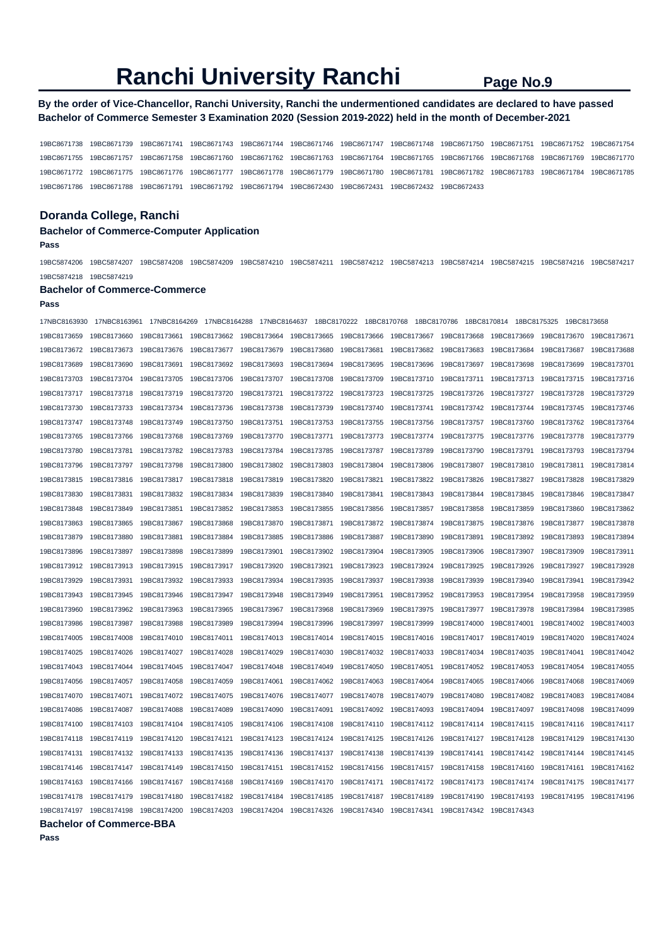# **By the order of Vice-Chancellor, Ranchi University, Ranchi the undermentioned candidates are declared to have passed Bachelor of Commerce Semester 3 Examination 2020 (Session 2019-2022) held in the month of December-2021**

19BC8671738 19BC8671739 19BC8671741 19BC8671743 19BC8671744 19BC8671746 19BC8671747 19BC8671748 19BC8671750 19BC8671751 19BC8671752 19BC8671754 19BC8671755 19BC8671757 19BC8671758 19BC8671760 19BC8671762 19BC8671763 19BC8671764 19BC8671765 19BC8671766 19BC8671768 19BC8671769 19BC8671770 19BC8671772 19BC8671775 19BC8671776 19BC8671777 19BC8671778 19BC8671779 19BC8671780 19BC8671781 19BC8671782 19BC8671783 19BC8671784 19BC8671785 19BC8671786 19BC8671788 19BC8671791 19BC8671792 19BC8671794 19BC8672430 19BC8672431 19BC8672432 19BC8672433

# **Doranda College, Ranchi**

# **Bachelor of Commerce-Computer Application**

**Pass** 

19BC5874206 19BC5874207 19BC5874208 19BC5874209 19BC5874210 19BC5874211 19BC5874212 19BC5874213 19BC5874214 19BC5874215 19BC5874216 19BC5874217 19BC5874218 19BC5874219

### **Bachelor of Commerce-Commerce**

#### **Pass**

| 17NBC8163930 | 17NBC8163961 | 17NBC8164269 | 17NBC8164288 | 17NBC8164637 |             | 18BC8170222 18BC8170768 | 18BC8170786 | 18BC8170814 | 18BC8175325 | 19BC8173658 |             |
|--------------|--------------|--------------|--------------|--------------|-------------|-------------------------|-------------|-------------|-------------|-------------|-------------|
| 19BC8173659  | 19BC8173660  | 19BC8173661  | 19BC8173662  | 19BC8173664  | 19BC8173665 | 19BC8173666             | 19BC8173667 | 19BC8173668 | 19BC8173669 | 19BC8173670 | 19BC8173671 |
| 19BC8173672  | 19BC8173673  | 19BC8173676  | 19BC8173677  | 19BC8173679  | 19BC8173680 | 19BC8173681             | 19BC8173682 | 19BC8173683 | 19BC8173684 | 19BC8173687 | 19BC8173688 |
| 19BC8173689  | 19BC8173690  | 19BC8173691  | 19BC8173692  | 19BC8173693  | 19BC8173694 | 19BC8173695             | 19BC8173696 | 19BC8173697 | 19BC8173698 | 19BC8173699 | 19BC8173701 |
| 19BC8173703  | 19BC8173704  | 19BC8173705  | 19BC8173706  | 19BC8173707  | 19BC8173708 | 19BC8173709             | 19BC8173710 | 19BC8173711 | 19BC8173713 | 19BC8173715 | 19BC8173716 |
| 19BC8173717  | 19BC8173718  | 19BC8173719  | 19BC8173720  | 19BC8173721  | 19BC8173722 | 19BC8173723             | 19BC8173725 | 19BC8173726 | 19BC8173727 | 19BC8173728 | 19BC8173729 |
| 19BC8173730  | 19BC8173733  | 19BC8173734  | 19BC8173736  | 19BC8173738  | 19BC8173739 | 19BC8173740             | 19BC8173741 | 19BC8173742 | 19BC8173744 | 19BC8173745 | 19BC8173746 |
| 19BC8173747  | 19BC8173748  | 19BC8173749  | 19BC8173750  | 19BC8173751  | 19BC8173753 | 19BC8173755             | 19BC8173756 | 19BC8173757 | 19BC8173760 | 19BC8173762 | 19BC8173764 |
| 19BC8173765  | 19BC8173766  | 19BC8173768  | 19BC8173769  | 19BC8173770  | 19BC8173771 | 19BC8173773             | 19BC8173774 | 19BC8173775 | 19BC8173776 | 19BC8173778 | 19BC8173779 |
| 19BC8173780  | 19BC8173781  | 19BC8173782  | 19BC8173783  | 19BC8173784  | 19BC8173785 | 19BC8173787             | 19BC8173789 | 19BC8173790 | 19BC8173791 | 19BC8173793 | 19BC8173794 |
| 19BC8173796  | 19BC8173797  | 19BC8173798  | 19BC8173800  | 19BC8173802  | 19BC8173803 | 19BC8173804             | 19BC8173806 | 19BC8173807 | 19BC8173810 | 19BC8173811 | 19BC8173814 |
| 19BC8173815  | 19BC8173816  | 19BC8173817  | 19BC8173818  | 19BC8173819  | 19BC8173820 | 19BC8173821             | 19BC8173822 | 19BC8173826 | 19BC8173827 | 19BC8173828 | 19BC8173829 |
| 19BC8173830  | 19BC8173831  | 19BC8173832  | 19BC8173834  | 19BC8173839  | 19BC8173840 | 19BC8173841             | 19BC8173843 | 19BC8173844 | 19BC8173845 | 19BC8173846 | 19BC8173847 |
| 19BC8173848  | 19BC8173849  | 19BC8173851  | 19BC8173852  | 19BC8173853  | 19BC8173855 | 19BC8173856             | 19BC8173857 | 19BC8173858 | 19BC8173859 | 19BC8173860 | 19BC8173862 |
| 19BC8173863  | 19BC8173865  | 19BC8173867  | 19BC8173868  | 19BC8173870  | 19BC8173871 | 19BC8173872             | 19BC8173874 | 19BC8173875 | 19BC8173876 | 19BC8173877 | 19BC8173878 |
| 19BC8173879  | 19BC8173880  | 19BC8173881  | 19BC8173884  | 19BC8173885  | 19BC8173886 | 19BC8173887             | 19BC8173890 | 19BC8173891 | 19BC8173892 | 19BC8173893 | 19BC8173894 |
| 19BC8173896  | 19BC8173897  | 19BC8173898  | 19BC8173899  | 19BC8173901  | 19BC8173902 | 19BC8173904             | 19BC8173905 | 19BC8173906 | 19BC8173907 | 19BC8173909 | 19BC8173911 |
| 19BC8173912  | 19BC8173913  | 19BC8173915  | 19BC8173917  | 19BC8173920  | 19BC8173921 | 19BC8173923             | 19BC8173924 | 19BC8173925 | 19BC8173926 | 19BC8173927 | 19BC8173928 |
| 19BC8173929  | 19BC8173931  | 19BC8173932  | 19BC8173933  | 19BC8173934  | 19BC8173935 | 19BC8173937             | 19BC8173938 | 19BC8173939 | 19BC8173940 | 19BC8173941 | 19BC8173942 |
| 19BC8173943  | 19BC8173945  | 19BC8173946  | 19BC8173947  | 19BC8173948  | 19BC8173949 | 19BC8173951             | 19BC8173952 | 19BC8173953 | 19BC8173954 | 19BC8173958 | 19BC8173959 |
| 19BC8173960  | 19BC8173962  | 19BC8173963  | 19BC8173965  | 19BC8173967  | 19BC8173968 | 19BC8173969             | 19BC8173975 | 19BC8173977 | 19BC8173978 | 19BC8173984 | 19BC8173985 |
| 19BC8173986  | 19BC8173987  | 19BC8173988  | 19BC8173989  | 19BC8173994  | 19BC8173996 | 19BC8173997             | 19BC8173999 | 19BC8174000 | 19BC8174001 | 19BC8174002 | 19BC8174003 |
| 19BC8174005  | 19BC8174008  | 19BC8174010  | 19BC8174011  | 19BC8174013  | 19BC8174014 | 19BC8174015             | 19BC8174016 | 19BC8174017 | 19BC8174019 | 19BC8174020 | 19BC8174024 |
| 19BC8174025  | 19BC8174026  | 19BC8174027  | 19BC8174028  | 19BC8174029  | 19BC8174030 | 19BC8174032             | 19BC8174033 | 19BC8174034 | 19BC8174035 | 19BC8174041 | 19BC8174042 |
| 19BC8174043  | 19BC8174044  | 19BC8174045  | 19BC8174047  | 19BC8174048  | 19BC8174049 | 19BC8174050             | 19BC8174051 | 19BC8174052 | 19BC8174053 | 19BC8174054 | 19BC8174055 |
| 19BC8174056  | 19BC8174057  | 19BC8174058  | 19BC8174059  | 19BC8174061  | 19BC8174062 | 19BC8174063             | 19BC8174064 | 19BC8174065 | 19BC8174066 | 19BC8174068 | 19BC8174069 |
| 19BC8174070  | 19BC8174071  | 19BC8174072  | 19BC8174075  | 19BC8174076  | 19BC8174077 | 19BC8174078             | 19BC8174079 | 19BC8174080 | 19BC8174082 | 19BC8174083 | 19BC8174084 |
| 19BC8174086  | 19BC8174087  | 19BC8174088  | 19BC8174089  | 19BC8174090  | 19BC8174091 | 19BC8174092             | 19BC8174093 | 19BC8174094 | 19BC8174097 | 19BC8174098 | 19BC8174099 |
| 19BC8174100  | 19BC8174103  | 19BC8174104  | 19BC8174105  | 19BC8174106  | 19BC8174108 | 19BC8174110             | 19BC8174112 | 19BC8174114 | 19BC8174115 | 19BC8174116 | 19BC8174117 |
| 19BC8174118  | 19BC8174119  | 19BC8174120  | 19BC8174121  | 19BC8174123  | 19BC8174124 | 19BC8174125             | 19BC8174126 | 19BC8174127 | 19BC8174128 | 19BC8174129 | 19BC8174130 |
| 19BC8174131  | 19BC8174132  | 19BC8174133  | 19BC8174135  | 19BC8174136  | 19BC8174137 | 19BC8174138             | 19BC8174139 | 19BC8174141 | 19BC8174142 | 19BC8174144 | 19BC8174145 |
| 19BC8174146  | 19BC8174147  | 19BC8174149  | 19BC8174150  | 19BC8174151  | 19BC8174152 | 19BC8174156             | 19BC8174157 | 19BC8174158 | 19BC8174160 | 19BC8174161 | 19BC8174162 |
| 19BC8174163  | 19BC8174166  | 19BC8174167  | 19BC8174168  | 19BC8174169  | 19BC8174170 | 19BC8174171             | 19BC8174172 | 19BC8174173 | 19BC8174174 | 19BC8174175 | 19BC8174177 |
| 19BC8174178  | 19BC8174179  | 19BC8174180  | 19BC8174182  | 19BC8174184  | 19BC8174185 | 19BC8174187             | 19BC8174189 | 19BC8174190 | 19BC8174193 | 19BC8174195 | 19BC8174196 |
| 19BC8174197  | 19BC8174198  | 19BC8174200  | 19BC8174203  | 19BC8174204  | 19BC8174326 | 19BC8174340             | 19BC8174341 | 19BC8174342 | 19BC8174343 |             |             |

**Bachelor of Commerce-BBA** 

**Pass**